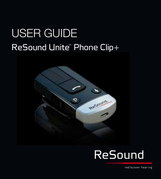# user guide ReSound Unite" Phone Clip+



Reformé

rediscover hearing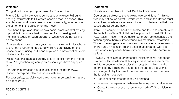#### Welcome

Congratulations on your purchase of a Phone Clip+.

Phone Clip+ will allow you to connect your wireless ReSound hearing instruments to Bluetooth-enabled mobile phones. This enables clear and hassle-free phone connectivity, whether you are at home, in the office or on the move.

The Phone Clip+ also doubles as a basic remote control making it possible for you to adjust to volume of your hearing instruments and toggle through programs, when you are not talking on the phone.

You can also chose to mute your hearing instrument microphone to shut out environmental sound while you are talking on the phone or when using the Phone Clip+ as a remote control (Verso wireless family only).

Please read this manual carefully to fully benefit from the Phone Clip+. Ask your hearing care professional if you have any questions.

For further information you can also check the http://www. resound.com/products/accessories web site.

For your safety, carefully read the chapter Important Information, on pages 25-31.

FCC ID: X26BTB-2

#### Statement:

This device complies with Part 15 of the FCC Rules.

Operation is subject to the following two conditions: (1) this device may not cause harmful interference, and (2) this device must accept any interference received, including interference that may cause undesired operation.

Note: This equipment has been tested and found to comply with the limits for a Class B digital device, pursuant to part 15 of the FCC Rules. These limits are designed to provide reasonable protection against harmful interference in a residential installation. This equipment generates, uses and can radiate radio frequency energy and, if not installed and used in accordance with the instructions, may cause harmful interference to radio communications.

However, there is no guarantee that interference will not occur in a particular installation. If this equipment does cause harmful interference to radio or television reception, which can be determined by turning the equipment off and on, the user is encouraged to try to correct the interference by one or more of the following measures:

- Reorient or relocate the receiving antenna
- Increase the separation between the equipment and receiver.
- Consult the dealer or an experienced radio/TV technician for help.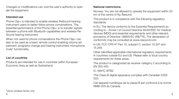Changes or modifications can void the user's authority to operate the equipment.

#### Intended use

Phone Clip+ is intended to enable wireless ReSound hearing instrument users to better follow phone conversations. The essential performance of the Phone Clip+ is to transfer signals between a phone with Bluetooth capabilities and wireless Re-Sound hearing instrument.

When not used for phone conversations the Phone Clip+ can also to be used as a basic remote control enabling volume adjustment, programs change and hearing instrument microphone mute\* functionality.

#### List of countries

Products are intended for use in countries within European Economic Area as well as Switzerland.

#### National restrictions:

Norway: You are not allowed to operate the equipment within 20 km of the centre of Ny Ålesund.

This product is in compliance with the following regulatory standards:

In EU: The device conforms to the Essential Requirements according to - Annex I of Council Directive 93/42/EEC for medical devices (MDD) and essential requirements and other relevant provisions of Directive 1999/5/EC (R&TTE). The declaration of conformity may be consulted at www.resound.com

In US: FCC CFR 47 Part 15, subpart C, section 15.247 and 15.249.

Other identified applicable international regulatory requirements in countries outside EU and US. Please refer to local country requirements for these areas.

The product is categorized as receiver category 2 according to EN 300 440.

iC: 6941C-BTB2

This Class B digital apparatus complies with Canadian ICES-003.

Cet appareil numérique de la classe B est conforme à la norme NMB-003 du Canada.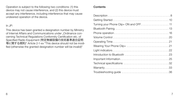Operation is subject to the following two conditions: (1) this device may not cause interference, and (2) this device must accept any interference, including interference that may cause undesired operation of the device.

#### In JP:

This device has been granted a designation number by Ministry of Internal Affairs and Communications under "Ordinance concerning Technical Regulations Conformity Certification etc. of Specified Radio Equipment (特定無線設備の技術基準適合証明 等に関する規則)" Article 2-1-xx "This device should not be modified (otherwise the granted designation number will be invalid)"

#### **Contents**

| Troubleshooting guide 36 |
|--------------------------|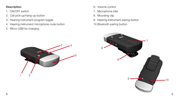#### Description

- 1. ON/OFF switch
- 2. Call pick-up/hang-up button
- 3. Hearing instrument program toggle
- 4. Hearing instrument microphone mute button
- 5. Micro-USB for charging



- 6. Volume control
- 7. Microphone inlet
- 8. Mounting clip
- 9. Hearing instrument pairing button
- 10.Bluetooth pairing button

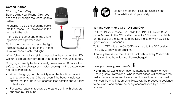### Getting Started

Charging the Battery Before using your Phone Clip+, you need to fully charge the rechargeable battery.

To charge it, plug the charging cable into the Phone Clip+ as shown in the picture to the right.

Then plug the other end of the charging cable into a power outlet.

During the charging process, the light indicator (LED) at the top of the Phone Clip+ will show a solid red light.

When fully charged and still connected to the charger, the LED will turn solid green interrupted by a red blink every 2 seconds.

Charging an empty battery typically takes around 3 hours. It is safe to leave the charger connected overnight – the battery cannot be overcharged.

- When charging your Phone Clip+ for the first time, leave it to charge for at least 3 hours, even if the battery indicator shows that the unit is fully charged (see section about "Light indicators").
- $10$  dependence of the contract of the contract of the contract of the contract of the contract of the contract of the contract of the contract of the contract of the contract of the contract of the contract of the contra • For safety reasons, recharge the battery only with chargers supplied by ReSound.





Do not charge the ReSound Unite Phone Clip+ while it is on your body.

#### Turning your Phone Clip+ ON and OFF

To turn ON your Phone Clip+ slide the ON/ OFF switch (1 on page 8) down to the ON position. A white "I" icon will be visible on the base of the switch and the LED indicator will now blink green every 2,5 seconds.

To turn it OFF, slide the ON/OFF switch up to the OFF position. The LED will now stop blinking.

If battery level is low the LED will blink yellow every 2 seconds indicating that the unit should be recharged.

### Pairing to hearing instruments  $\mathbf{I}$



**Note!** The following information is intended primarily for your Hearing Care Professional, who in most cases will complete the tasks that are necessary before the Phone Clip+ can be used with your hearing instruments. However, the process is designed to be simple and should be easily accomplished by almost anyone.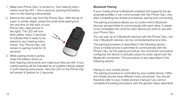- 1. Make sure Phone Clip+ is turned on. Your hearing instruments must be OFF – this is done by opening the battery door on the hearing instrument(s).
- 2. Remove the silver cap from the Phone Clip+. With the tip of a pen or similar object, press the small white pairing button one time on the back of your

Phone Clip+ (see picture to the right). The LED will now blink yellow every 2 seconds to indicate that is ready to be paired to your hearing instruments. Your Phone Clip+ will remain in pairing mode for 20 seconds.



3. While pairing mode is active, close the battery doors on

both hearing instruments and make sure they are ON. A successful pairing will be indicated by an audible melody played in both hearing instruments. Also the LED on the Phone Clip will remain lit (yellow) for 2 seconds.

### Bluetooth Pairing

If your mobile phone is Bluetooth-enabled and supports the appropriate profiles, it can communicate with the Phone Clip+ only after completing two simple procedures: pairing and connecting.

The pairing procedure allows you to control which Bluetooth devices are permitted to communicate with each other. It needs to be completed only once for each device you wish to use with your Phone Clip+.

You can pair up to 8 Bluetooth devices with the Phone Clip+, but only 2 Bluetooth devices can be connected/active at a time.

The pairing procedure is described in the following section. Once a mobile phone is permitted to communicate with the Phone Clip+ by the pairing procedure, the connection procedure configures the device to actually output its audio signal over the Bluetooth connection. This procedure is also described in the following section.

#### Pairing to your mobile phone

The pairing procedure is controlled by your mobile phone. Different mobile phones have different menu structures. You should therefore refer to your mobile phone's manual if you cannot complete the pairing procedure with the generic steps described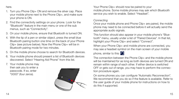here.

- 1. Turn you Phone Clip+ ON and remove the silver cap. Place your mobile phone next to the Phone Clip+, and make sure your phone is ON.
- 2. Find the connectivity settings on your phone. Look for the "Bluetooth" feature in the main menu or one of the sub menus, such as "Connectivity".
- 3. On your mobile phone, ensure that Bluetooth is turned ON.
- 4. With the tip of a pen or similar object, press the small blue Bluetooth pairing button one time on the back of your Phone Clip+ (see picture below). Now the Phone Clip+ will be in Bluetooth pairing mode for two minutes.
- 5. On the mobile phone choose to search for Bluetooth devices.
- 6. Your mobile phone should present a list of Bluetooth devices discovered. Select "Hearing Aid Phone" from this list.
- 7. Your mobile phone may then ask you to enter a passcode. If so, enter "0000" (four zeros).



Your Phone Clip+ should now be paired to your mobile phone. Some mobile phones may ask which Bluetooth service you wish to enable. Select "Headset".

#### Connecting

Once your mobile phone and Phone Clip+ are paired, the mobile phone may need to be connected before it will actually send the appropriate audio signals.

This function should also appear in your mobile phone's "Bluetooth" menu, usually under a list of "Paired Devices". In that list, highlight your Phone Clip+ and select "Connect".

When your Phone Clip+ and mobile phone are connected, you may see a headset symbol on the main screen of your mobile

phone, similar to this:  $\Omega$ 

The connection between the Phone Clip+ and the mobile phone will be maintained for as long as both devices are turned ON and remain within range of each other. If either device is switched OFF or gets out of range, you may have to perform the connection procedure again.

On some phones you can configure "Automatic Reconnection". We recommend that you do so if the feature is available. Refer to the user guide of your mobile phone for instructions on how to do this if supported.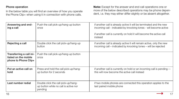#### Phone operation

In the below table you will find an overview of how you operate the Phone Clip+ when using it in connection with phone calls.

Note: Except for the answer and end call operations one or more of the below described operations may be phone dependent, i.e. they may either differ slightly or be absent altogether.

| Answering and end-<br>ing a call                                         | Push the call pick-up/hang-up button<br>once                                            | if another call is already active it will be terminated and the new<br>incoming call - indicated by knocking tones - will become active<br>if another call is currently on hold it will become the active call<br>instead |
|--------------------------------------------------------------------------|-----------------------------------------------------------------------------------------|---------------------------------------------------------------------------------------------------------------------------------------------------------------------------------------------------------------------------|
| Rejecting a call                                                         | Double click the call pick-up/hang-up<br>button                                         | if another call is already active it will remain active, only the new<br>incoming call – indicated by knocking tones – will be rejected                                                                                   |
| Transferring a call ini-<br>tiated on the mobile<br>phone to Phone Clip+ | Push the call pick-up/hang-up button<br>once                                            |                                                                                                                                                                                                                           |
| Put an active call on<br>hold                                            | Press and hold the call pick-up/hang-<br>up button for 2 seconds                        | if another call is currently on hold or an incoming call is pending --<br>this will now become the active call instead                                                                                                    |
| Last number redial                                                       | Double click the call pick-up/hang-<br>up button while no call is active nor<br>pending | if two mobile phones are connected this operation applies to the<br>last paired mobile phone                                                                                                                              |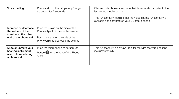| Voice dialling                                                                             | Press and hold the call pick-up/hang-<br>up button for 2 seconds                                                                                       | if two mobile phones are connected this operation applies to the<br>last paired mobile phone<br>This functionality requires that the Voice dialling functionality is<br>available and activated on your Bluetooth phone |
|--------------------------------------------------------------------------------------------|--------------------------------------------------------------------------------------------------------------------------------------------------------|-------------------------------------------------------------------------------------------------------------------------------------------------------------------------------------------------------------------------|
| Increase or decrease<br>the volume of the<br>speaker at the other<br>end of the phone call | Push the $+$ sign on the side of the<br>Phone Clip+ to increase the volume<br>Push the - sign on the side of the<br>Phone Clip+ to decrease the volume |                                                                                                                                                                                                                         |
| Mute or unmute your<br>hearing instrument<br>microphones during<br>a phone call            | Push the microphone mute/unmute<br>button <b>O</b> on the front of the Phone<br>$Clip+$                                                                | This functionality is only available for the wireless Verso hearing<br>instrument family                                                                                                                                |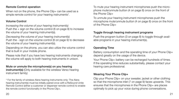#### Remote Control operation

When not on the phone, the Phone Clip+ can be used as a simple remote control for your hearing instruments\*.

#### Volume Control

Increasing the volume of your hearing instrument(s) Push the + sign on the volume control (6 on page 9) to increase the volume of your hearing instrument(s).

Decreasing the volume of your hearing instrument(s) Push the - sign on the volume control (6 on page 9) to decrease the volume of your hearing instrument(s).

Depending on the phone, you can also utilize the volume control that is built in your mobile phone.

Please note that if you have two hearing instruments changing the volume will apply to both hearing instruments in unison.

#### Mute or unmute the microphone(s) on you hearing

instrument(s) (Only available for the wireless Verso hearing instrument family)

\* For the family of wireless Alera hearing instruments only: The Alera hearing instrument(s) must be initially paired once with a ReSound Unite Remote Control (either a customer or dispenser remote control) to enable the remote control functionality in the Phone Clip+.

To mute your hearing instrument microphones push the microphone mute/unmute button (4 on page 8) once on the front of the Phone Clip+

To unmute your hearing instrument microphones push the microphone mute/unmute button (4 on page 8) once on the front of the Phone Clip+

#### Toggle through hearing instrument programs

Push the program button (3 on page 8) to toggle through available programs in your hearing instrument(s).

#### Operating Time

Battery consumption and the operating time of your Phone Clip+ depend greatly on the usage of the device.

Your Phone Clip+ battery can be recharged hundreds of times. If the operating time reduces substantially, please contact your hearing care professional.

#### Wearing Your Phone Clip+

Clip your Phone Clip+ on your sweater, jacket or other clothing so that the microphone inlet (7 on page 9) faces upwards. This ensures that the microphones in the Phone Clip+ are places optimally to pick up your voice during phone conversations.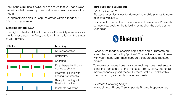The Phone Clip+ has a swivel clip to ensure that you can always place it so that the microphone inlet faces upwards towards the mouth.

For optimal voice pickup keep the device within a range of 10- 30cm from your mouth.

#### Light indicators (LED)

The Light indicator at the top of your Phone Clip+ serves as a multipurpose user interface, providing information on the status of your device.

| <b>Blinks</b> | Meaning                                         |
|---------------|-------------------------------------------------|
|               | Normal operation                                |
|               | <b>Battery low</b>                              |
|               | Charging                                        |
| <u>a sa T</u> | Fully charged -still con-<br>nected to charger  |
|               | Ready for pairing with<br>hearing instrument(s) |
|               | Ready for pairing with<br>Bluetooth device      |
|               | Bluetooth call active                           |

#### Introduction to Bluetooth

What is Bluetooth?

Bluetooth provides a way for devices like mobile phones to communicate wirelessly.

First, check whether the phone you wish to use offers Bluetooth connectivity. Look for the following symbol on the device or its user guide.



Second, the range of possible applications on a Bluetooth-enabled device is defined by "profiles". The device you wish to use with your Phone Clip+ must support the appropriate Bluetooth profiles.

To receive or place phone calls your mobile phone must support either the "handsfree" or the "headset" profile. Many, but not all mobile phones support these Bluetooth profiles. Look for this information in your mobile phone user guide.

#### Bluetooth Operating Range In free air, your Phone Clip+ supports Bluetooth operation up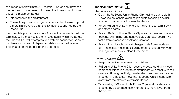to a range of approximately 10 meters. Line-of-sight between the devices is not required. However, the following factors may affect the maximum range:

- Interference in the environment
- The mobile phone which you are connecting to may support a more limited range than the 10 meters supported by the Phone Clip+

If your mobile phone moves out of range, the connection will be terminated. If the device is then moved again within the range, the Phone Clip+ will attempt to re-establish connection. Whether it achieves to do so will depend on delay since the link was broken and on the mobile phone properties.

# Important Information  $\frac{1}{1}$

Maintenance and Care

- Clean the ReSound Unite Phone Clip+ using a damp cloth. Never use household cleaning products (washing powder, soap etc…) or alcohol to clean the device
- When ReSound Unite Phone Clip+ is not in use, turn it OFF and store it safely
- **Protect ReSound Unite Phone Clip+ from excessive moisture** (bathing, swimming) and heat (radiator, car dashboard). Protect it from excessive shock and vibration.
- Protect the microphone and charger inlets from debris and dirt. If necessary, use the cleaning brush provided with your hearing instruments to clean these areas.

General warnings  $\triangle$ 

- Keep this device out of reach of children
- ReSound Unite Phone Clip+ uses low-powered digitally coded transmissions in order to communicate with other wireless devices. Although unlikely, nearby electronic devices may be affected. In that case, move the ReSound Unite Phone Clip+ away from the affected electronic device.
- $24$ • When using ReSound Unite Phone Clip+ and the device is affected by electromagnetic interference, move away from the source.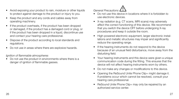- Avoid exposing your product to rain, moisture or other liquids to protect against damage to the product or injury to you.
- Keep the product and any cords and cables away from operating machinery.
- If the product overheats, if the product has been dropped or damaged, if the product has a damaged cord or plug, or if the product has been dropped in a liquid, discontinue use and contact your hearing care professional.
- Dispose of the product according to local standards and regulations.
- Do not use in areas where there are explosive hazards.

#### Ignition of flammable atmospheres

Do not use the product in environments where there is a danger of ignition of flammable gasses.

General Precautions

- General Precautions **(1)**<br>• Do not use this device in locations where it is forbidden to use electronic devices.
- X-ray radiation (e.g. CT scans, MRI scans) may adversely affect the correct functioning of this device. We recommend that you switch the device OFF before undergoing X-ray procedures and keep it outside the room.
- High-powered electronic equipment, larger electronic installations and metallic structures may impair and significantly reduce the operating range.
- If the hearing instruments do not respond to the device because of an unusual field disturbance, move away from the disturbing field.
- Your hearing instruments and this device were given a unique communication code during the fitting. This ensures that the device will not affect hearing instruments worn by others.
- Do not make any changes or modifications to this device.
- Opening the ReSound Unite Phone Clip+ might damage it. If problems occur which cannot be resolved, consult your hearing care professional.
- ReSound Unite Phone Clip+ may only be repaired by an authorized service center.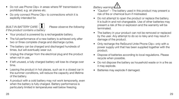- Do not use Phone Clip+ in areas where RF transmission is prohibited, e.g. air planes etc.
- Do only connect Phone Clip+ to connections which it is explicitly intended for.

# BUILT-IN BATTERY CARE:  $\boxed{\overset{\bullet}{\blacksquare}}$  Please observe the following<br>if the product contains a battery

- Your product is powered by a rechargeable battery.
- The full performance of a new battery is achieved only after two or three complete charge and discharge cycles.
- The battery can be charged and discharged hundreds of times, but will eventually wear out.
- Unplug the charger from the electrical plug and the product when not in use.
- If left unused, a fully charged battery will lose its charge over time.
- Leaving the product in hot places, such as in a closed car in the summer conditions, will reduce the capacity and lifetime of the battery.
- A product with a cold battery may not work temporarily, even when the battery is fully charged. Battery performance is particularly limited in temperatures well below freezing.

# Battery warning!

- Battery warning!<br>• "Caution" The battery used in this product may present a risk of fire or chemical burn if mistreated.
- Do not attempt to open the product or replace the battery. It is built-in and not changeable. Use of other batteries may present a risk of fire or explosion and the warranty will be terminated.
- The battery in your product can not be removed or replaced by the user. Any attempt to do so is risky and may result in damage of the product.
- Only recharge the ReSound Unite Phone Clip+ only with a power supply unit that has been supplied together with the product.
- Dispose of batteries according to local regulations. Please recycle when possible.
- Do not dispose the battery as household waste or in a fire as it may explode.
- Batteries may explode if damaged.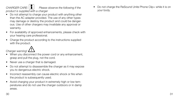CHARGER CARE:  $\parallel \bullet \parallel$  Please observe the following if the

product is supplied with a charger

- Do not attempt to charge your product with anything other than the AC adapter provided. The use of any other types may damage or destroy the product and could be dangerous. Use of other chargers may invalidate any approval or warranty.
- For availability of approved enhancements, please check with your hearing care professional.
- Charge the product according to the instructions supplied with the product.

Charger warning!

- Charger warning!  $\bigwedge_{i=1}^n$  and the power cord or any enhancement, grasp and pull the plug, not the cord.
- Never use a charger that is damaged.
- Do not attempt to disassemble the charger as it may expose you to dangerous electric shock.
- Incorrect reassembly can cause electric shock or fire when the product is subsequently used.
- Avoid charging your product in extremely high or low temperatures and do not use the charger outdoors or in damp areas.

Do not charge the ReSound Unite Phone Clip+ while it is on your body.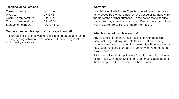#### Technical specifications

| Operating range:       | up to $3m$           |
|------------------------|----------------------|
| Wireless:              | $2.4$ GHz            |
| Operating temperature: | 0 to 45 $^{\circ}$ C |
| Charging temperature:  | 0 to 45 $^{\circ}$ C |
| Storage temperature:   | $-20$ to 45 °C       |
|                        |                      |

#### Temperature test, transport and storage information

The product is subject to various tests in temperature and damp heating cycling between -25 °C and +70 °C according to internal and industry standards.

#### Warranty

The ReSound Unite Phone Clip+ is covered by a limited warranty issued by the manufacturer for a period of 12 months from the day of the original purchase. Please notice that extended warranties may apply in your country. Please contact your local Hearing Care Professional for more information.

#### What is covered by this warranty?

Any electrical component, that because of workmanship, manufacturing or design defects fails to function properly under normal use during life of this warranty will be replaced or repaired at no charge for parts or labour when returned to the point of purchase.

If it is determined that repair is not feasible, the entire unit may be replaced with an equivalent unit upon mutual agreement of the Hearing Care Professional and the customer.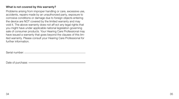#### What is not covered by this warranty?

Problems arising from improper handling or care, excessive use, accidents, repairs made by an unauthorized party, exposure to corrosive conditions or damage due to foreign objects entering the device are NOT covered by the limited warranty and may void it. The above warranty does not aff ect any legal rights that you might have under applicable national legislation governing sale of consumer products. Your Hearing Care Professional may have issued a warranty that goes beyond the clauses of this limited warranty. Please consult your Hearing Care Professional for further information.

Serial number:

Date of purchase: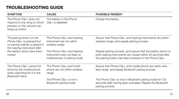## TROUBLESHOOTING GUIDE

| <b>SYMPTOM</b>                                                                                                            | <b>CAUSE</b>                                                                                | <b>POSSIBLE REMEDY</b>                                                                                                                                                                |
|---------------------------------------------------------------------------------------------------------------------------|---------------------------------------------------------------------------------------------|---------------------------------------------------------------------------------------------------------------------------------------------------------------------------------------|
| The Phone Clip+ does not<br>respond to any (long or short)<br>presses on the call pick-up/<br>hang-up button              | The battery in the Phone<br>Clip+ is depleted                                               | Charge the battery                                                                                                                                                                    |
| The pairing button on the<br>Phone Clip+ is pressed but<br>no pairing melody is played in<br>the hearing instrument after | The Phone Clip+ and hearing<br>instrument are not within<br>wireless range                  | Assure that Phone Clip+ and hearing instruments are within<br>wireless range, and repeat pairing process                                                                              |
| the battery doors have been<br>closed                                                                                     | The Phone Clip+ and hearing<br>instrument have not been si-<br>multaneously in pairing mode | Repeat pairing process, and assure that the battery doors on<br>both hearing instruments are closed within 20 seconds after<br>the pairing button has been pressed on the Phone Clip+ |
| The Phone Clip+ cannot be<br>found by the mobile phone<br>when searching for it in the<br><b>Bluetooth menu</b>           | The Phone Clip+ and mobil<br>phone are not within wireless<br>range                         | Assure that Phone Clip+ and mobile phone are within wire-<br>less range, and repeat Bluetooth pairing process                                                                         |
|                                                                                                                           | The Phone Clip+ is not in<br>Bluetooth pairing mode                                         | The Phone Clip+ is only in Bluetooth pairing mode for 120<br>seconds after having been activated. Repeat the Bluetooth<br>pairing process                                             |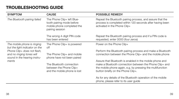# TROUBLESHOOTING GUIDE

| <b>SYMPTOM</b>                                                | <b>CAUSE</b>                                                                                             | <b>POSSIBLE REMEDY</b>                                                                                                                                 |
|---------------------------------------------------------------|----------------------------------------------------------------------------------------------------------|--------------------------------------------------------------------------------------------------------------------------------------------------------|
| The Bluetooth pairing failed                                  | The Phone Clip+ left Blue-<br>tooth pairing mode before<br>mobile phone completed the<br>pairing session | Repeat the Bluetooth pairing process, and assure that the<br>process is completed within 120 seconds after having been<br>activated in the Phone Clip+ |
|                                                               | The wrong 4-digit PIN code<br>has been entered                                                           | Repeat the Bluetooth pairing process and if a PIN code is<br>requested, enter 0000 (four zeros)                                                        |
| The mobile phone is ringing<br>but the light indicator on the | The Phone Clip+ is powered<br>off                                                                        | Power on the Phone Clip+                                                                                                                               |
| Phone Clip+ does not flash,                                   |                                                                                                          | Perform the Bluetooth pairing process and make a Bluetooth                                                                                             |
| and no ringing tones will<br>sound in the hearing instru-     | The Phone Clip+ and mobile<br>phone have not been paired                                                 | connection between the Phone Clip+ and the mobile phone                                                                                                |
| ments                                                         |                                                                                                          | Assure that Bluetooth is enabled in the mobile phone and                                                                                               |
|                                                               | The Bluetooth connection                                                                                 | make a Bluetooth connection between the Phone Clip+ and                                                                                                |
|                                                               | between the Phone Clip+<br>and the mobile phone is lost                                                  | the mobile phone again, e.g. by pressing the multifunction<br>button briefly on the Phone Clip+.                                                       |
|                                                               |                                                                                                          | As for any details of the Bluetooth operation of the mobile<br>phone, please refer to its user guide                                                   |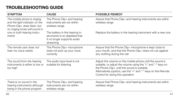## TROUBLESHOOTING GUIDE

| <b>SYMPTOM</b>                                                                                                                 | <b>CAUSE</b>                                                                                                | <b>POSSIBLE REMEDY</b>                                                                                                                                                                                                                                                         |
|--------------------------------------------------------------------------------------------------------------------------------|-------------------------------------------------------------------------------------------------------------|--------------------------------------------------------------------------------------------------------------------------------------------------------------------------------------------------------------------------------------------------------------------------------|
| The mobile phone is ringing<br>and the light indicator on the<br>Phone Clip+ does flash, but<br>no ringing tones will sound in | The Phone Clip+ and hearing<br>instruments are not within<br>wireless range                                 | Assure that Phone Clip+ and hearing instruments are within<br>wireless range                                                                                                                                                                                                   |
| one or both hearing instru-<br>ments                                                                                           | The battery in the hearing in-<br>struments is so depleted that<br>it no longer supports audio<br>streaming | Replace the battery in the hearing instrument with a new one                                                                                                                                                                                                                   |
| The remote user does not<br>hear my voice clearly                                                                              | The Phone Clip+ microphone<br>does not pick up your voice<br>correctly                                      | Assure that the Phone Clip+ microphone is kept close to<br>your mouth, and that the Phone Clip+ does not rub against<br>any clothing during the call                                                                                                                           |
| The sound from the hearing<br>instruments is either to low or<br>too high                                                      | The audio input level is not<br>suitable for listening                                                      | Adjust the volume on the mobile phone until the sound is<br>suitable, or adjust the volume using the "+" and "-" keys on<br>the Phone Clip+ until the sound is suitable.<br>Alternatively (option), use the "+" and "-" keys on the Remote<br>Control for doing this operation |
| There is no sound in the<br>hearing instruments although<br>being in the phone program                                         | The Phone Clip+ and hearing<br>instruments are not within<br>wireless range                                 | Assure that Phone Clip+ and hearing instruments are within<br>wireless range                                                                                                                                                                                                   |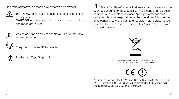Be aware of information marked with the warning symbol



**WARNING** points out a situation that could lead to serious injuries.

CAUTION indicates a situation that could lead to minor and moderate injuries



Advice and tips on how to handle your ReSound Unite accessory better.



Equipment includes RF transmitter



roduct is a Type B applied part

i "Made for iPhone" means that an electronic accessory has been designed to connect specifically to iPhone and has been certified by the developer to meet Apple performance standards. Apple is not responsible for the operation of this device or its compliance with safety and regulatory standards. Please note that the use of this accessory with iPhone may affect wireless performance.



Please ask your local hearing care professional concerning disposal of your ReSound Unite accessory

 $C \in \mathbb{C}$ 

Any issues relating to the EU Medical Device Directive 93/42/EEC and R&TTE Directive 1999/5/EEC should be directed to GN Hearing A/S, Lautrupbjerg 7, DK 2750 Ballerup, Denmark